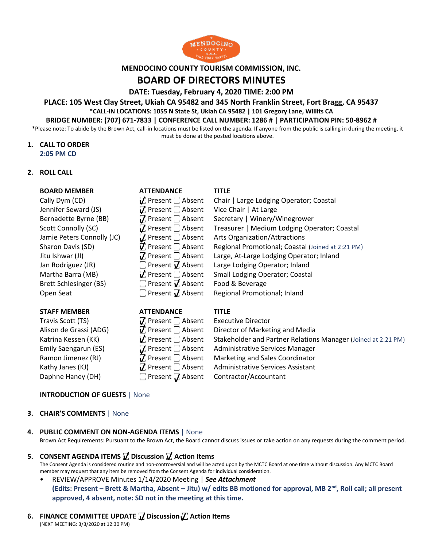

### **MENDOCINO COUNTY TOURISM COMMISSION, INC.**

# **BOARD OF DIRECTORS MINUTES**

**DATE: Tuesday, February 4, 2020 TIME: 2:00 PM**

### **PLACE: 105 West Clay Street, Ukiah CA 95482 and 345 North Franklin Street, Fort Bragg, CA 95437 \*CALL-IN LOCATIONS: 1055 N State St, Ukiah CA 95482 | 101 Gregory Lane, Willits CA**

# **BRIDGE NUMBER: (707) 671-7833 | CONFERENCE CALL NUMBER: 1286 # | PARTICIPATION PIN: 50-8962 #**

\*Please note: To abide by the Brown Act, call-in locations must be listed on the agenda. If anyone from the public is calling in during the meeting, it must be done at the posted locations above.

### **1. CALL TO ORDER 2:05 PM CD**

### **2. ROLL CALL**

### **BOARD MEMBER ATTENDANCE TITLE**

Jennifer Seward (JS)  $\mathcal{I}$  Present  $\Box$  Absent Vice Chair | At Large Bernadette Byrne (BB)  $\mathcal{I}$  Present  $\Box$  Absent Secretary | Winery/ Brett Schlesinger (BS)  $\Box$  Present  $\overline{V}$ , Absent Food & Beverage Open Seat  $\Box$  Present  $\Box$  Absent Regional Promotional; Inland

#### **STAFF MEMBER ATTENDANCE TITLE**

Travis Scott (TS)  $\mathcal{I}$  Present  $\Box$  Absent Executive Director

Cally Dym (CD)  $\mathbb Z$  Present  $\Box$  Absent Chair | Large Lodging Operator; Coastal Bernadette Byrne (BB)  $\mathbb{Z}$  Present  $\Box$  Absent Secretary | Winery/Winegrower Scott Connolly (SC)  $\mathbb Z$  Present  $\mathbb Z$  Absent Treasurer | Medium Lodging Operator; Coastal Jamie Peters Connolly (JC)  $\qquad \qquad \mathcal{I}$  Present  $\Box$  Absent Arts Organization/Attractions Sharon Davis (SD)  $\vec{v}$  Present  $\vec{\ }$  Absent Regional Promotional; Coastal (Joined at 2:21 PM) Jitu Ishwar (JI)  $\mathbb Z$  Present  $\Box$  Absent Large, At-Large Lodging Operator; Inland Jan Rodriguez (JR)  $\Box$  Present  $\mathbf Z$  Absent Large Lodging Operator; Inland Martha Barra (MB)  $\vec{J}$ , Present  $\vec{J}$ , Absent Small Lodging Operator; Coastal

Alison de Grassi (ADG)  $\mathbf{V}$  Present  $\Box$  Absent Director of Marketing and Media Katrina Kessen (KK)  $\vec{V}$  Present  $\Box$  Absent Stakeholder and Partner Relations Manager (Joined at 2:21 PM) Emily Saengarun (ES)  $\mathbf{Z}$  Present  $\Box$  Absent Administrative Services Manager Ramon Jimenez (RJ)  $\mathbb{Z}$  Present  $\Box$  Absent Marketing and Sales Coordinator Kathy Janes (KJ)  $\mathbb Z$  Present  $\Box$  Absent Administrative Services Assistant Daphne Haney (DH)  $\Box$  Present  $\Box$  Absent Contractor/Accountant

#### **INTRODUCTION OF GUESTS** | None

#### **3. CHAIR'S COMMENTS** | None

#### **4. PUBLIC COMMENT ON NON-AGENDA ITEMS** | None

Brown Act Requirements: Pursuant to the Brown Act, the Board cannot discuss issues or take action on any requests during the comment period.

**5. CONSENT AGENDA ITEMS ꙱ Discussion ꙱ Action Items**

The Consent Agenda is considered routine and non-controversial and will be acted upon by the MCTC Board at one time without discussion. Any MCTC Board member may request that any item be removed from the Consent Agenda for individual consideration.

• REVIEW/APPROVE Minutes 1/14/2020 Meeting | *See Attachment* **(Edits: Present – Brett & Martha, Absent – Jitu) w/ edits BB motioned for approval, MB 2nd, Roll call; all present approved, 4 absent, note: SD not in the meeting at this time.** 

# **6. FINANCE COMMITTEE UPDATE ꙱ Discussion ꙱ Action Items**

(NEXT MEETING: 3/3/2020 at 12:30 PM)